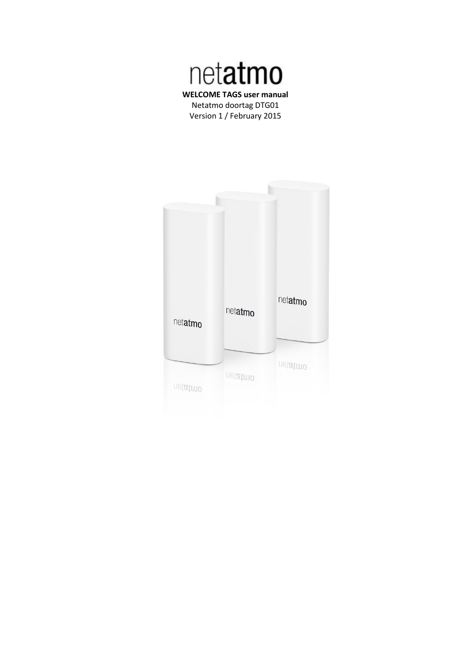

Netatmo doortag DTG01 Version 1 / February 2015

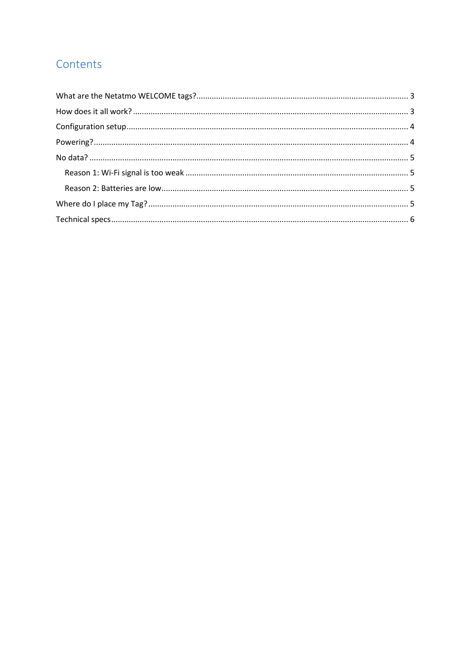# Contents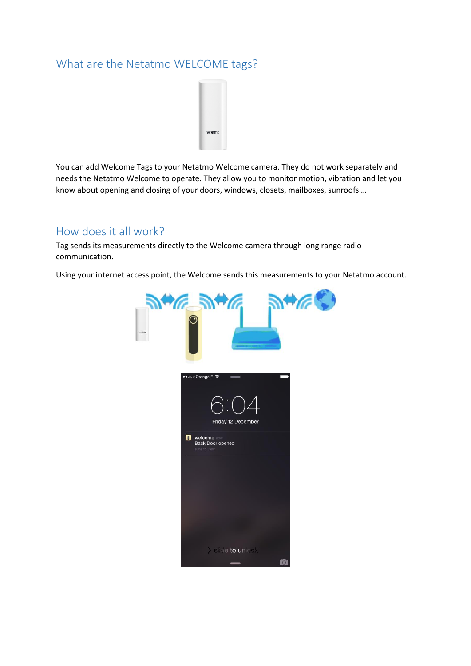## <span id="page-2-0"></span>What are the Netatmo WELCOME tags?



You can add Welcome Tags to your Netatmo Welcome camera. They do not work separately and needs the Netatmo Welcome to operate. They allow you to monitor motion, vibration and let you know about opening and closing of your doors, windows, closets, mailboxes, sunroofs …

## <span id="page-2-1"></span>How does it all work?

Tag sends its measurements directly to the Welcome camera through long range radio communication.

Using your internet access point, the Welcome sends this measurements to your Netatmo account.

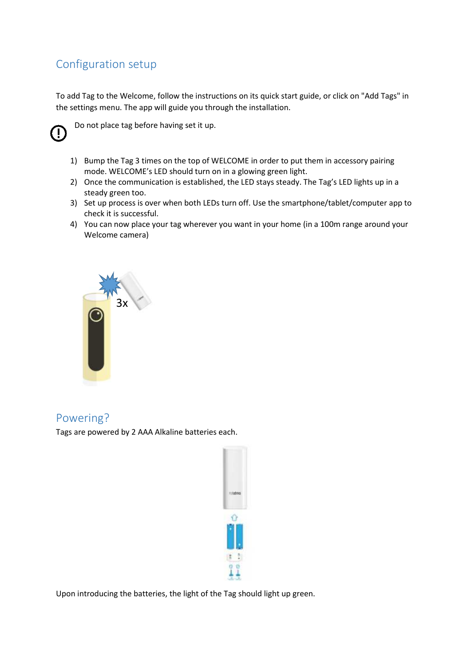# <span id="page-3-0"></span>Configuration setup

To add Tag to the Welcome, follow the instructions on its quick start guide, or click on "Add Tags" in the settings menu. The app will guide you through the installation.



Do not place tag before having set it up.

- 1) Bump the Tag 3 times on the top of WELCOME in order to put them in accessory pairing mode. WELCOME's LED should turn on in a glowing green light.
- 2) Once the communication is established, the LED stays steady. The Tag's LED lights up in a steady green too.
- 3) Set up process is over when both LEDs turn off. Use the smartphone/tablet/computer app to check it is successful.
- 4) You can now place your tag wherever you want in your home (in a 100m range around your Welcome camera)



## <span id="page-3-1"></span>Powering?

Tags are powered by 2 AAA Alkaline batteries each.



Upon introducing the batteries, the light of the Tag should light up green.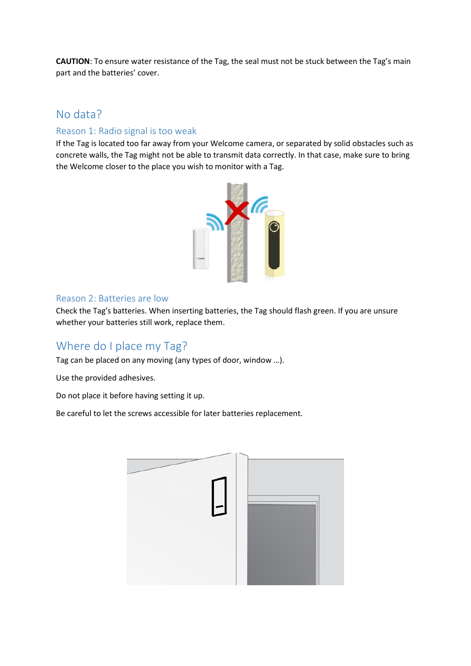**CAUTION**: To ensure water resistance of the Tag, the seal must not be stuck between the Tag's main part and the batteries' cover.

### <span id="page-4-0"></span>No data?

### <span id="page-4-1"></span>Reason 1: Radio signal is too weak

If the Tag is located too far away from your Welcome camera, or separated by solid obstacles such as concrete walls, the Tag might not be able to transmit data correctly. In that case, make sure to bring the Welcome closer to the place you wish to monitor with a Tag.



#### <span id="page-4-2"></span>Reason 2: Batteries are low

Check the Tag's batteries. When inserting batteries, the Tag should flash green. If you are unsure whether your batteries still work, replace them.

### <span id="page-4-3"></span>Where do I place my Tag?

Tag can be placed on any moving (any types of door, window …).

Use the provided adhesives.

Do not place it before having setting it up.

Be careful to let the screws accessible for later batteries replacement.

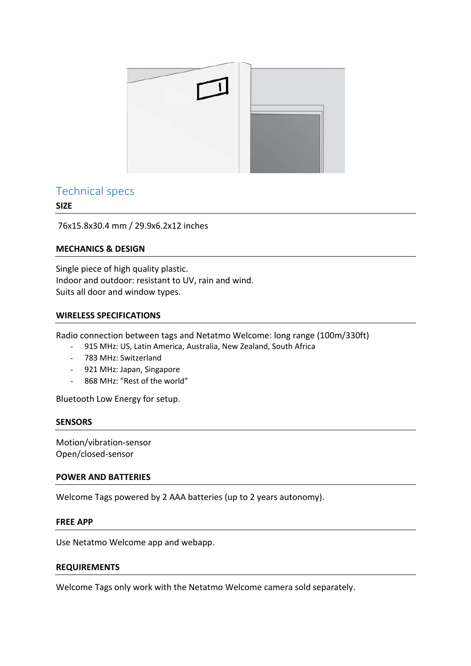

### <span id="page-5-0"></span>Technical specs

#### **SIZE**

76x15.8x30.4 mm / 29.9x6.2x12 inches

#### **MECHANICS & DESIGN**

Single piece of high quality plastic. Indoor and outdoor: resistant to UV, rain and wind. Suits all door and window types.

#### **WIRELESS SPECIFICATIONS**

Radio connection between tags and Netatmo Welcome: long range (100m/330ft)

- 915 MHz: US, Latin America, Australia, New Zealand, South Africa
- 783 MHz: Switzerland
- 921 MHz: Japan, Singapore
- 868 MHz: "Rest of the world"

Bluetooth Low Energy for setup.

#### **SENSORS**

Motion/vibration-sensor Open/closed-sensor

#### **POWER AND BATTERIES**

Welcome Tags powered by 2 AAA batteries (up to 2 years autonomy).

#### **FREE APP**

Use Netatmo Welcome app and webapp.

#### **REQUIREMENTS**

Welcome Tags only work with the Netatmo Welcome camera sold separately.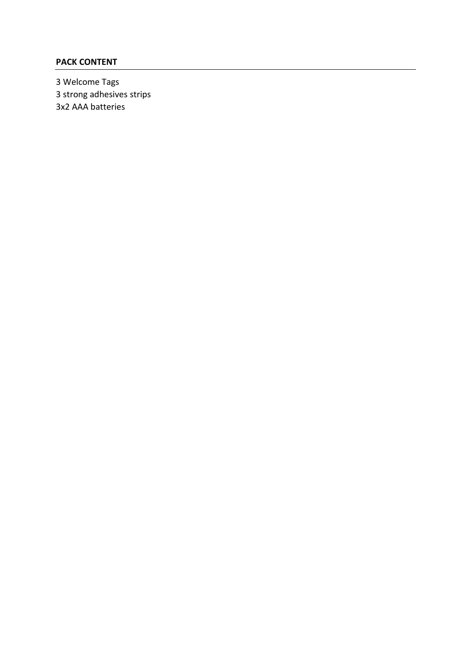### **PACK CONTENT**

3 Welcome Tags 3 strong adhesives strips 3x2 AAA batteries